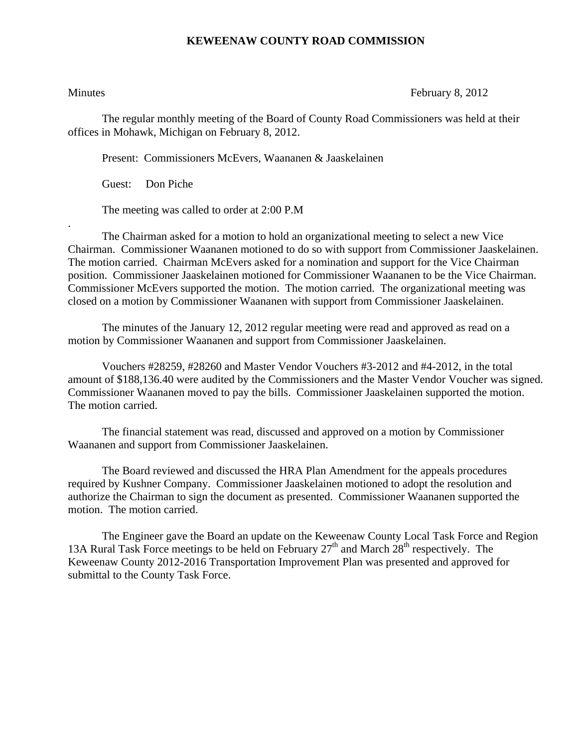## **KEWEENAW COUNTY ROAD COMMISSION**

.

Minutes February 8, 2012

The regular monthly meeting of the Board of County Road Commissioners was held at their offices in Mohawk, Michigan on February 8, 2012.

Present: Commissioners McEvers, Waananen & Jaaskelainen

Guest: Don Piche

The meeting was called to order at 2:00 P.M

 The Chairman asked for a motion to hold an organizational meeting to select a new Vice Chairman. Commissioner Waananen motioned to do so with support from Commissioner Jaaskelainen. The motion carried. Chairman McEvers asked for a nomination and support for the Vice Chairman position. Commissioner Jaaskelainen motioned for Commissioner Waananen to be the Vice Chairman. Commissioner McEvers supported the motion. The motion carried. The organizational meeting was closed on a motion by Commissioner Waananen with support from Commissioner Jaaskelainen.

 The minutes of the January 12, 2012 regular meeting were read and approved as read on a motion by Commissioner Waananen and support from Commissioner Jaaskelainen.

 Vouchers #28259, #28260 and Master Vendor Vouchers #3-2012 and #4-2012, in the total amount of \$188,136.40 were audited by the Commissioners and the Master Vendor Voucher was signed. Commissioner Waananen moved to pay the bills. Commissioner Jaaskelainen supported the motion. The motion carried.

 The financial statement was read, discussed and approved on a motion by Commissioner Waananen and support from Commissioner Jaaskelainen.

 The Board reviewed and discussed the HRA Plan Amendment for the appeals procedures required by Kushner Company. Commissioner Jaaskelainen motioned to adopt the resolution and authorize the Chairman to sign the document as presented. Commissioner Waananen supported the motion. The motion carried.

 The Engineer gave the Board an update on the Keweenaw County Local Task Force and Region 13A Rural Task Force meetings to be held on February  $27<sup>th</sup>$  and March  $28<sup>th</sup>$  respectively. The Keweenaw County 2012-2016 Transportation Improvement Plan was presented and approved for submittal to the County Task Force.